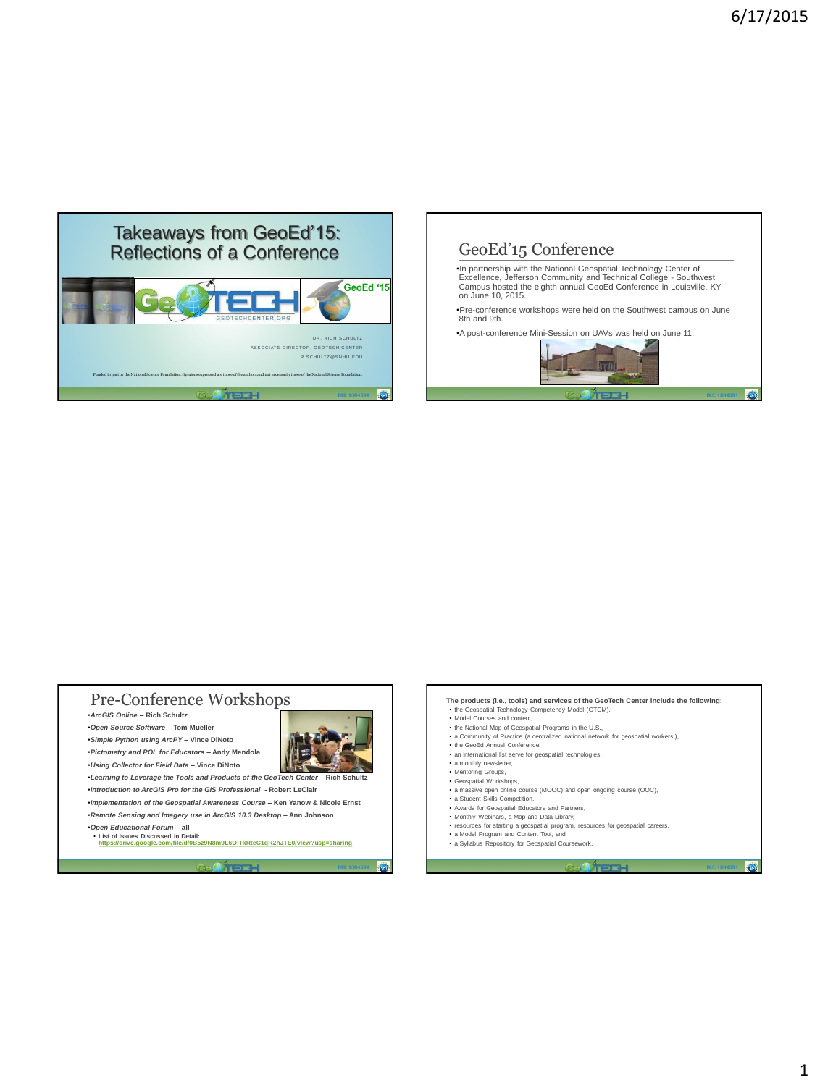





1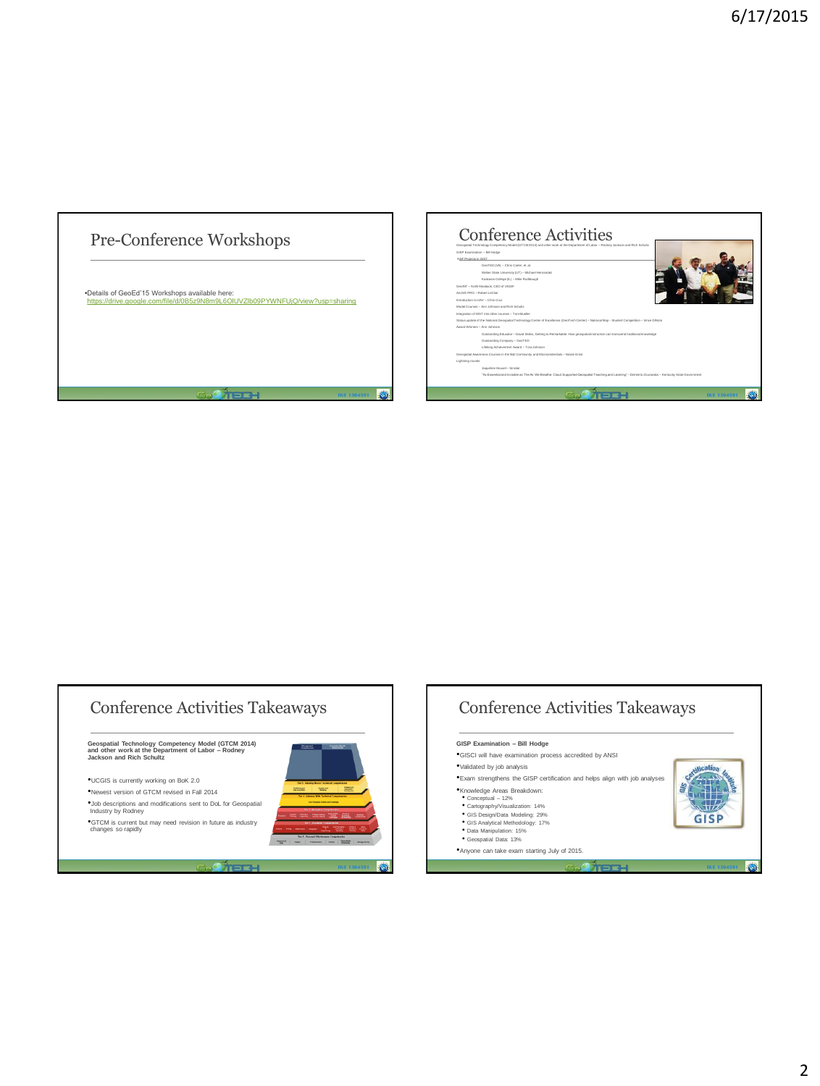





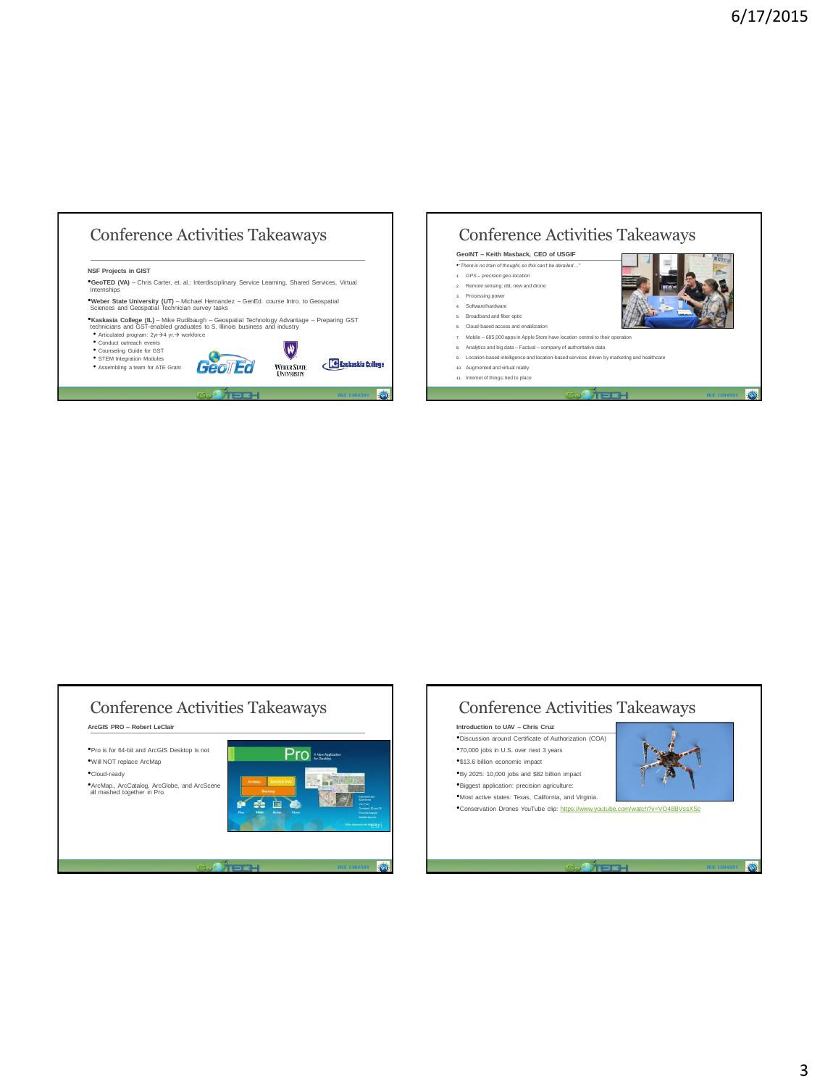





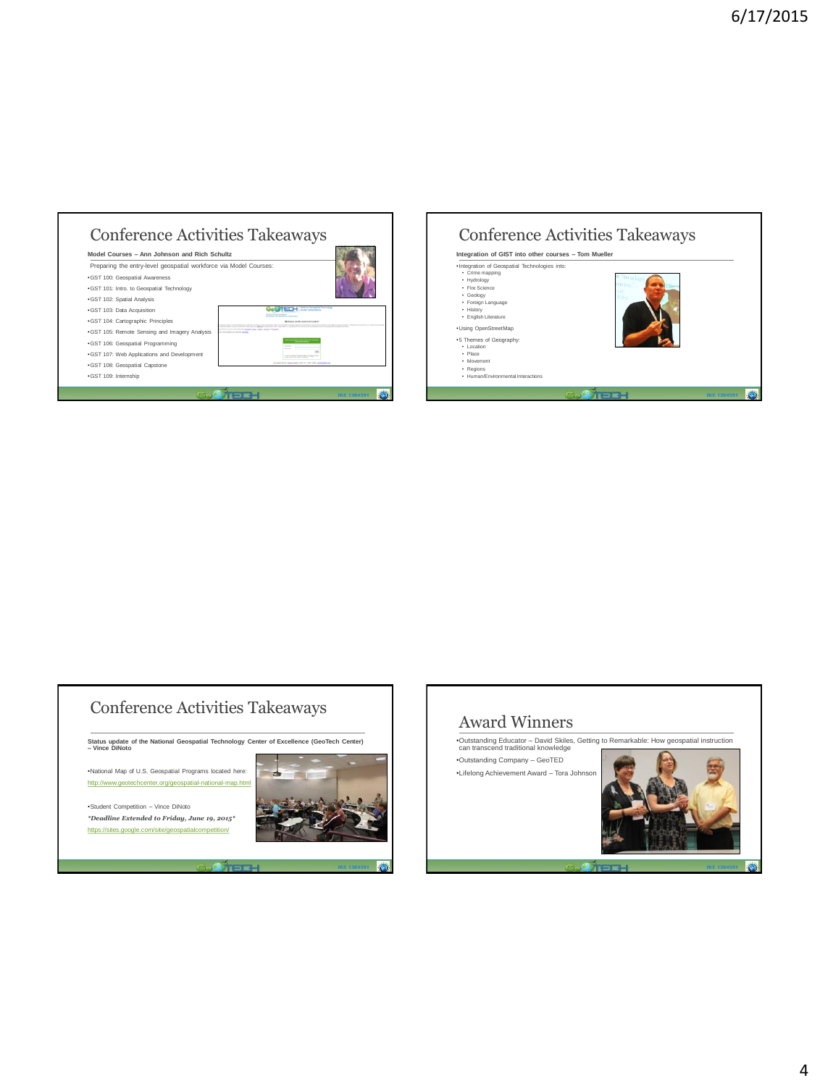| Model Courses - Ann Johnson and Rich Schultz<br>Preparing the entry-level geospatial workforce via Model Courses: |                                        |
|-------------------------------------------------------------------------------------------------------------------|----------------------------------------|
| ·GST 100: Geospatial Awareness                                                                                    |                                        |
| .GST 101: Intro. to Geospatial Technology                                                                         |                                        |
| ·GST 102: Spatial Analysis                                                                                        |                                        |
| ·GST 103: Data Acquisition                                                                                        |                                        |
| ·GST 104: Cartographic Principles                                                                                 | information offer Area Excited content |
| .GST 105: Remote Sensing and Imagery Analysis                                                                     |                                        |
| ·GST 106: Geospatial Programming                                                                                  |                                        |
| .GST 107: Web Applications and Development                                                                        |                                        |
| · GST 108: Geospatial Capstone                                                                                    |                                        |





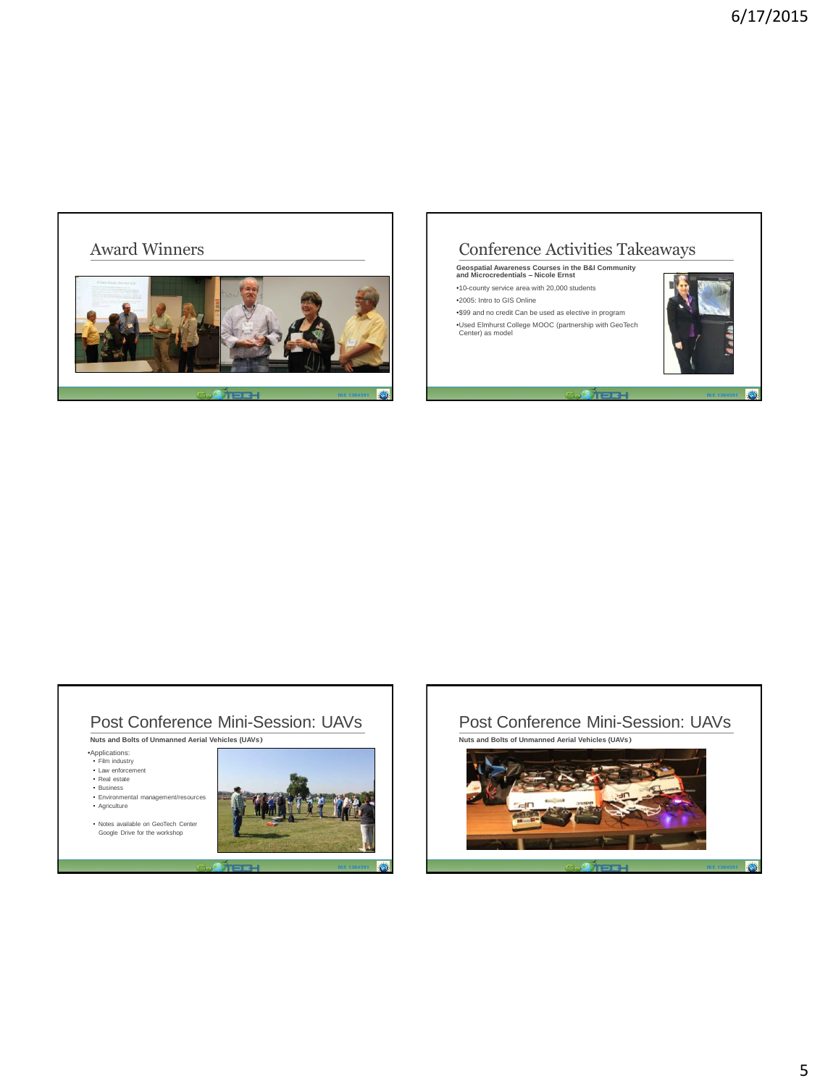